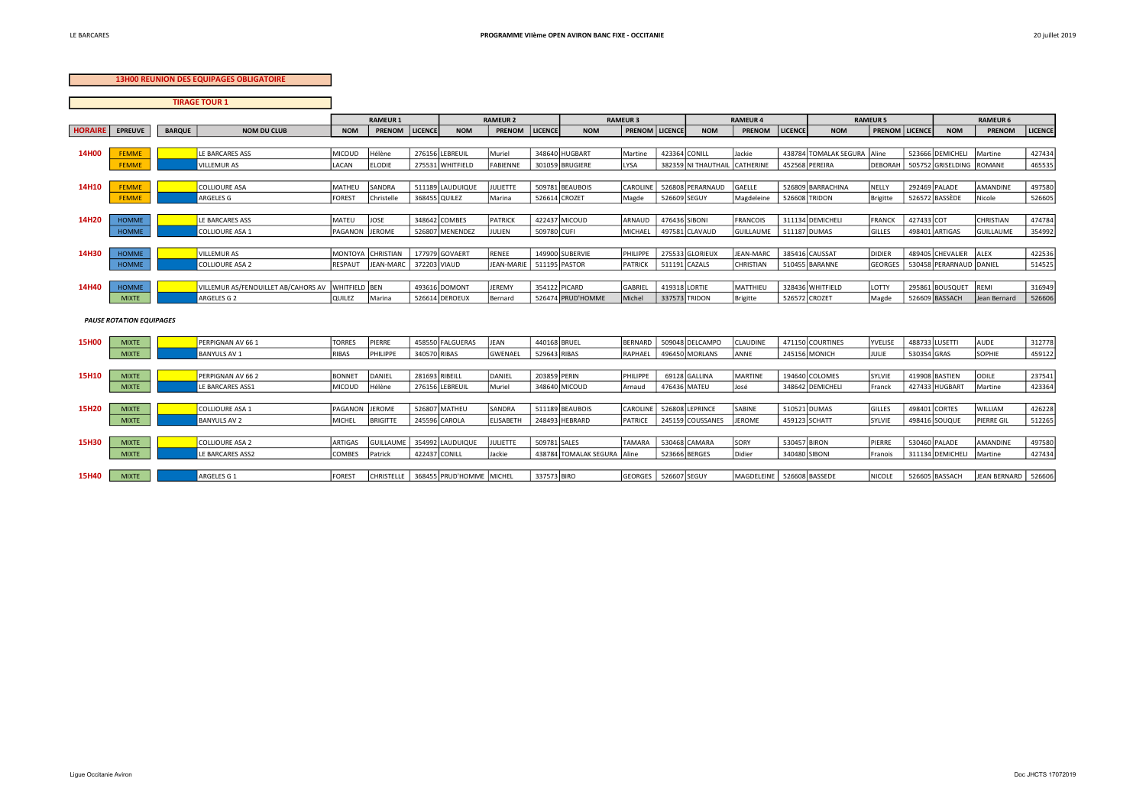## **13H00 REUNION DES EQUIPAGES OBLIGATOIRE**

| <b>TIRAGE TOUR 1</b> |                                 |               |                                     |                |                   |                              |                  |               |                             |                       |  |                     |                             |                |                       |                         |             |                          |                       |         |  |
|----------------------|---------------------------------|---------------|-------------------------------------|----------------|-------------------|------------------------------|------------------|---------------|-----------------------------|-----------------------|--|---------------------|-----------------------------|----------------|-----------------------|-------------------------|-------------|--------------------------|-----------------------|---------|--|
|                      |                                 |               |                                     |                | <b>RAMEUR 1</b>   |                              | <b>RAMEUR 2</b>  |               |                             | <b>RAMEUR 3</b>       |  |                     | <b>RAMEUR 4</b>             |                |                       | <b>RAMEUR 5</b>         |             |                          | <b>RAMEUR 6</b>       |         |  |
| <b>HORAIRE</b>       | <b>EPREUVE</b>                  | <b>BARQUE</b> | <b>NOM DU CLUB</b>                  | <b>NOM</b>     | <b>PRENOM</b>     | <b>LICENCE</b><br><b>NOM</b> | PRENOM           | LICENCE       | <b>NOM</b>                  | <b>PRENOM LICENCE</b> |  | <b>NOM</b>          | PRENOM                      | LICENCE        | <b>NOM</b>            | <b>PRENOM   LICENCE</b> |             | <b>NOM</b>               | PRENOM                | LICENCE |  |
|                      |                                 |               |                                     |                |                   |                              |                  |               |                             |                       |  |                     |                             |                |                       |                         |             |                          |                       |         |  |
| <b>14H00</b>         | <b>FEMME</b>                    |               | LE BARCARES ASS                     | <b>MICOUD</b>  | Hélène            | 276156 LEBREUIL              | Muriel           |               | 348640 HUGBART              | Martine               |  | 423364 CONILL       | Jackie                      |                | 438784 TOMALAK SEGURA | Aline                   |             | 523666 DEMICHELI         | Martine               | 427434  |  |
|                      | <b>FEMME</b>                    |               | <b>JILLEMUR AS</b>                  | LACAN          | <b>ELODIE</b>     | 275531 WHITFIELD             | FABIENNE         |               | 301059 BRUGIERE             | <b>LYSA</b>           |  | 382359 NI THAUTHAIL | CATHERINE                   | 452568 PEREIRA |                       | <b>DEBORAH</b>          |             | 505752 GRISELDING ROMANE |                       | 465535  |  |
|                      |                                 |               |                                     |                |                   |                              |                  |               |                             |                       |  |                     |                             |                |                       |                         |             |                          |                       |         |  |
| 14H10                | <b>FEMME</b>                    |               | <b>COLLIOURE ASA</b>                | MATHEU         | SANDRA            | 511189 LAUDUIQUE             | <b>JULIETTE</b>  |               | 509781 BEAUBOIS             | CAROLINE              |  | 526808 PERARNAUD    | GAELLE                      |                | 526809 BARRACHINA     | NELLY                   |             | 292469 PALADE            | AMANDINE              | 497580  |  |
|                      | <b>FEMME</b>                    |               | ARGELES G                           | <b>FOREST</b>  | Christelle        | 368455 QUILEZ                | Marina           | 526614 CROZET |                             | Magde                 |  | 526609 SEGUY        | Magdeleine                  | 526608 TRIDON  |                       | Brigitte                |             | 526572 BASSÈDE           | Nicole                | 526605  |  |
|                      |                                 |               |                                     |                |                   |                              |                  |               |                             |                       |  |                     |                             |                |                       |                         |             |                          |                       |         |  |
| 14H20                | <b>HOMME</b>                    |               | LE BARCARES ASS                     | <b>MATEU</b>   | JOSE              | 348642 COMBES                | PATRICK          |               | 422437 MICOUD               | ARNAUD                |  | 476436 SIBONI       | <b>FRANCOIS</b>             |                | 311134 DEMICHELI      | FRANCK                  | 427433 COT  |                          | CHRISTIAN             | 474784  |  |
|                      | <b>HOMME</b>                    |               | COLLIOURE ASA 1                     | PAGANON        | JEROME            | 526807 MENENDEZ              | JULIEN           | 509780 CUFI   |                             | MICHAEL               |  | 497581 CLAVAUD      | <b>GUILLAUME</b>            | 511187 DUMAS   |                       | GILLES                  |             | 498401 ARTIGAS           | GUILLAUME             | 354992  |  |
| 14H30                |                                 |               | <b>VILLEMURAS</b>                   | <b>MONTOYA</b> | CHRISTIAN         | 177979 GOVAERT               | RENEE            |               | 149900 SUBERVIE             |                       |  | 275533 GLORIEUX     | JEAN-MARC                   | 385416 CAUSSAT |                       | DIDIER                  |             | 489405 CHEVALIER         | ALEX                  | 422536  |  |
|                      | <b>HOMME</b><br><b>HOMME</b>    |               | COLLIOURE ASA 2                     | RESPAUT        | <b>JEAN-MARC</b>  | 372203 VIAUD                 | JEAN-MARIE       | 511195 PASTOR |                             | PHILIPPE<br>PATRICK   |  | 511191 CAZALS       | <b>CHRISTIAN</b>            |                | 510455 BARANNE        | <b>GEORGES</b>          |             | 530458 PERARNAUD DANIEL  |                       | 514525  |  |
|                      |                                 |               |                                     |                |                   |                              |                  |               |                             |                       |  |                     |                             |                |                       |                         |             |                          |                       |         |  |
| 14H40                | <b>HOMME</b>                    |               | VILLEMUR AS/FENOUILLET AB/CAHORS AV | WHITFIELD BEN  |                   | 493616 DOMONT                | JEREMY           | 354122 PICARD |                             | GABRIEL               |  | 419318 LORTIE       | MATTHIEU                    |                | 328436 WHITFIELD      | LOTTY                   |             | 295861 BOUSQUET          | REMI                  | 316949  |  |
|                      | <b>MIXTE</b>                    |               | ARGELES G 2                         | QUILEZ         | Marina            | 526614 DEROEUX               | Bernard          |               | 526474 PRUD'HOMME           | Michel                |  | 337573 TRIDON       | Brigitte                    | 526572 CROZET  |                       | Magde                   |             | 526609 BASSACH           | Jean Bernard          | 526606  |  |
|                      |                                 |               |                                     |                |                   |                              |                  |               |                             |                       |  |                     |                             |                |                       |                         |             |                          |                       |         |  |
|                      | <b>PAUSE ROTATION EQUIPAGES</b> |               |                                     |                |                   |                              |                  |               |                             |                       |  |                     |                             |                |                       |                         |             |                          |                       |         |  |
|                      |                                 |               |                                     |                |                   |                              |                  |               |                             |                       |  |                     |                             |                |                       |                         |             |                          |                       |         |  |
| <b>15H00</b>         | <b>MIXTE</b>                    |               | PERPIGNAN AV 661                    | <b>TORRES</b>  | PIERRE            | 458550 FALGUERAS             | <b>JEAN</b>      | 440168 BRUEL  |                             | BERNARD               |  | 509048 DELCAMPO     | CLAUDINE                    |                | 471150 COURTINES      | YVELISE                 |             | 488733 LUSETTI           | <b>AUDE</b>           | 312778  |  |
|                      | <b>MIXTE</b>                    |               | <b>BANYULS AV 1</b>                 | <b>RIBAS</b>   | PHILIPPE          | 340570 RIBAS                 | <b>GWENAEL</b>   | 529643 RIBAS  |                             | RAPHAEL               |  | 496450 MORLANS      | ANNE                        | 245156 MONICH  |                       | JULIE                   | 530354 GRAS |                          | SOPHIE                | 459122  |  |
|                      |                                 |               |                                     |                |                   |                              |                  |               |                             |                       |  |                     |                             |                |                       |                         |             |                          |                       |         |  |
| <b>15H10</b>         | <b>MIXTE</b>                    |               | PERPIGNAN AV 66 2                   | <b>BONNET</b>  | DANIEL            | 281693 RIBEILL               | DANIEL           | 203859 PERIN  |                             | PHILIPPE              |  | 69128 GALLINA       | <b>MARTINE</b>              |                | 194640 COLOMES        | SYLVIE                  |             | 419908 BASTIEN           | ODILE                 | 237541  |  |
|                      | <b>MIXTE</b>                    |               | <b>E BARCARES ASS1</b>              | MICOUD         | Hélène            | 276156 LEBREUIL              | Muriel           |               | 348640 MICOUD               | Arnaud                |  | 476436 MATEU        | José                        |                | 348642 DEMICHELI      | Franck                  |             | 427433 HUGBART           | Martine               | 423364  |  |
|                      |                                 |               |                                     |                |                   |                              |                  |               |                             |                       |  |                     |                             |                |                       |                         |             |                          |                       |         |  |
| 15H20                | <b>MIXTE</b>                    |               | <b>COLLIOURE ASA 1</b>              | PAGANON        | JEROME            | 526807 MATHEU                | SANDRA           |               | 511189 BEAUBOIS             | CAROLINE              |  | 526808 LEPRINCE     | SABINE                      | 510521 DUMAS   |                       | GILLES                  |             | 498401 CORTES            | WILLIAM               | 426228  |  |
|                      | <b>MIXTE</b>                    |               | <b>BANYULS AV 2</b>                 | MICHEL         | <b>BRIGITTE</b>   | 245596 CAROLA                | <b>ELISABETH</b> |               | 248493 HEBRARD              | PATRICE               |  | 245159 COUSSANES    | <b>JEROME</b>               | 459123 SCHATT  |                       | SYLVIE                  |             | 498416 SOUQUE            | PIERRE GIL            | 512265  |  |
|                      |                                 |               |                                     |                |                   |                              |                  |               |                             |                       |  |                     |                             |                |                       |                         |             |                          |                       |         |  |
| <b>15H30</b>         | <b>MIXTE</b>                    |               | <b>COLLIOURE ASA 2</b>              | <b>ARTIGAS</b> | <b>GUILLAUME</b>  | 354992 LAUDUIQUE             | <b>JULIETTE</b>  | 509781 SALES  |                             | TAMARA                |  | 530468 CAMARA       | SORY                        | 530457 BIRON   |                       | PIERRE                  |             | 530460 PALADE            | AMANDINE              | 497580  |  |
|                      | <b>MIXTE</b>                    |               | <b>E BARCARES ASS2</b>              | <b>COMBES</b>  | Patrick           | 422437 CONILL                | Jackie           |               | 438784 TOMALAK SEGURA Aline |                       |  | 523666 BERGES       | Didier                      | 340480 SIBONI  |                       | Franois                 |             | 311134 DEMICHELI         | Martine               | 427434  |  |
| 15H40                |                                 |               |                                     | <b>FOREST</b>  |                   | 368455 PRUD'HOMME MICHEL     |                  | 337573 BIRO   |                             |                       |  | 526607 SEGUY        | MAGDELEINE   526608 BASSEDE |                |                       |                         |             | 526605 BASSACH           | JEAN BERNARD   526606 |         |  |
|                      | <b>MIXTE</b>                    |               | ARGELES G 1                         |                | <b>CHRISTELLE</b> |                              |                  |               |                             | <b>GEORGES</b>        |  |                     |                             |                |                       | <b>NICOLE</b>           |             |                          |                       |         |  |